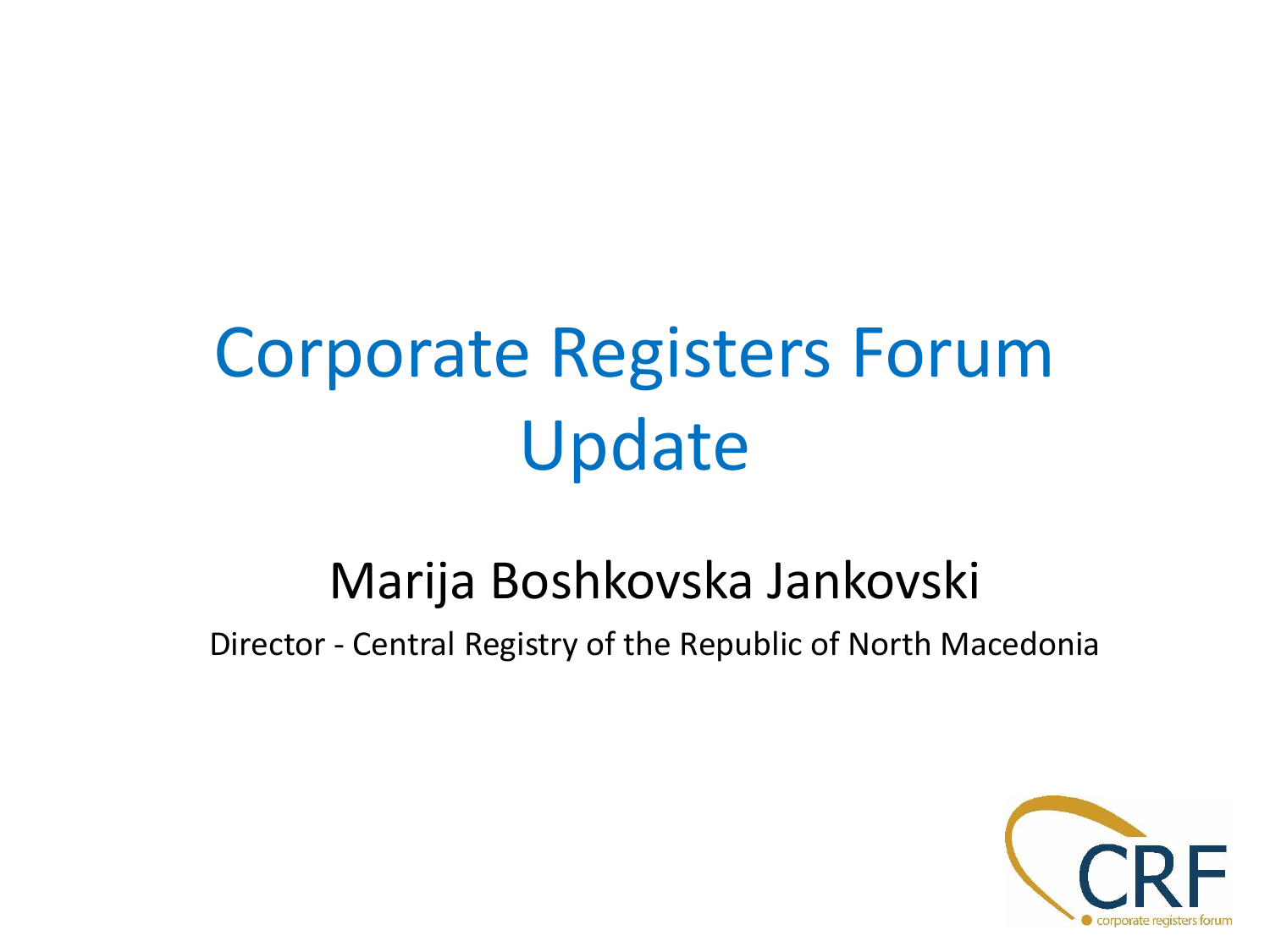# Corporate Registers Forum Update

#### Marija Boshkovska Jankovski

Director - Central Registry of the Republic of North Macedonia

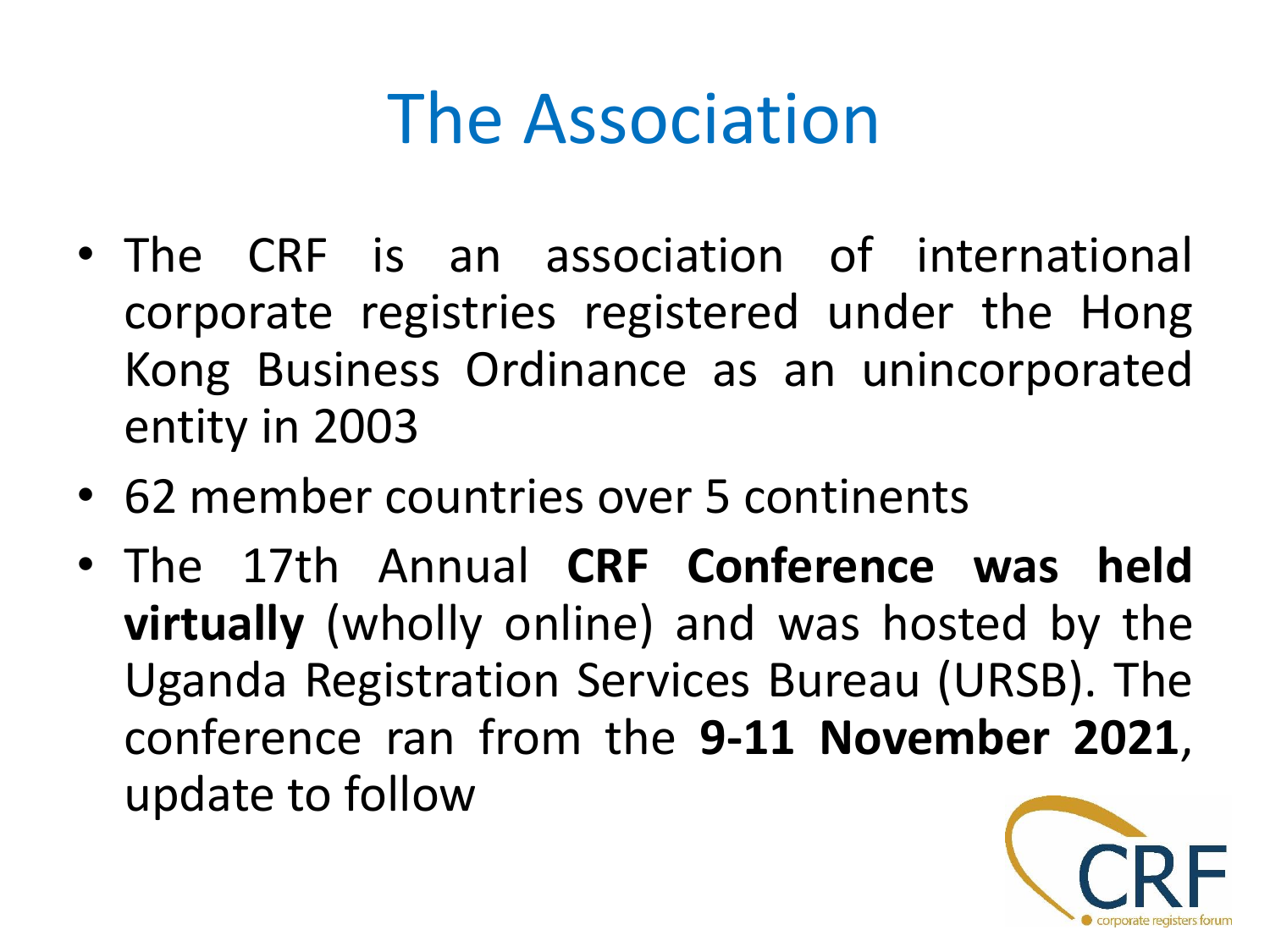## The Association

- The CRF is an association of international corporate registries registered under the Hong Kong Business Ordinance as an unincorporated entity in 2003
- 62 member countries over 5 continents
- The 17th Annual **CRF Conference was held virtually** (wholly online) and was hosted by the Uganda Registration Services Bureau (URSB). The conference ran from the **9-11 November 2021**, update to follow

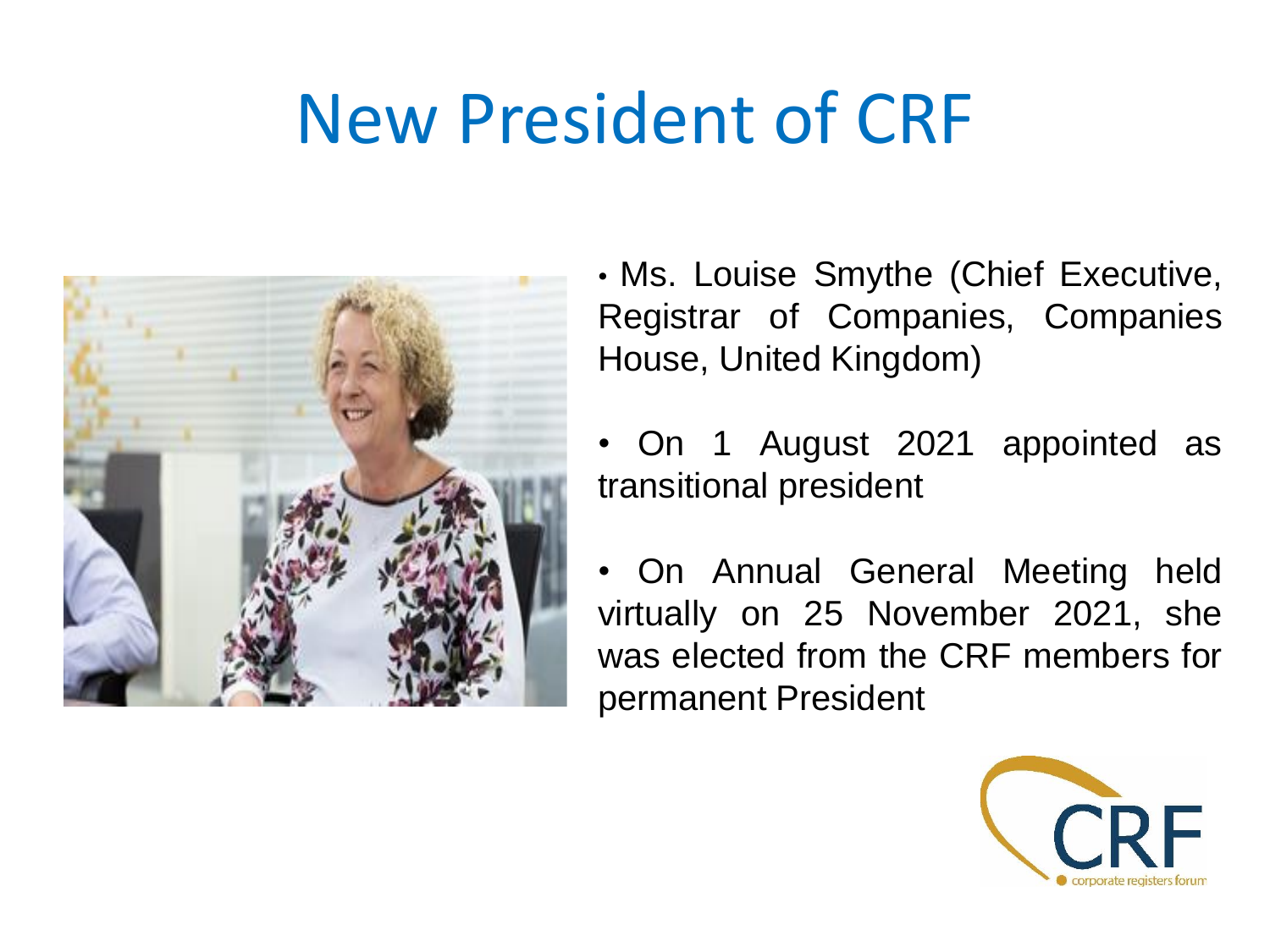## New President of CRF



• Ms. Louise Smythe (Chief Executive, Registrar of Companies, Companies House, United Kingdom)

• On 1 August 2021 appointed as transitional president

• On Annual General Meeting held virtually on 25 November 2021, she was elected from the CRF members for permanent President

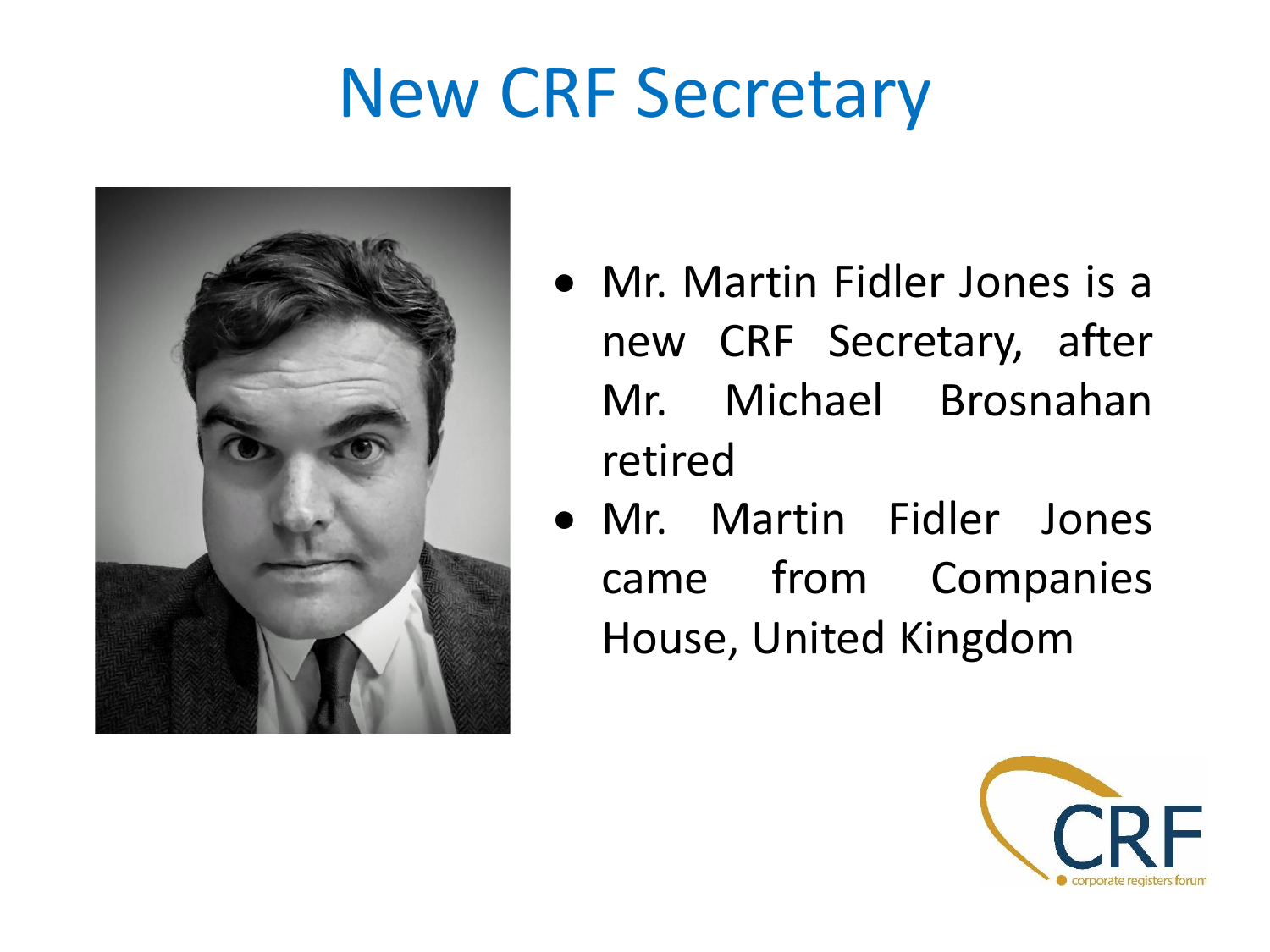## New CRF Secretary



- Mr. Martin Fidler Jones is a new CRF Secretary, after Mr. Michael Brosnahan retired
- Mr. Martin Fidler Jones came from Companies House, United Kingdom

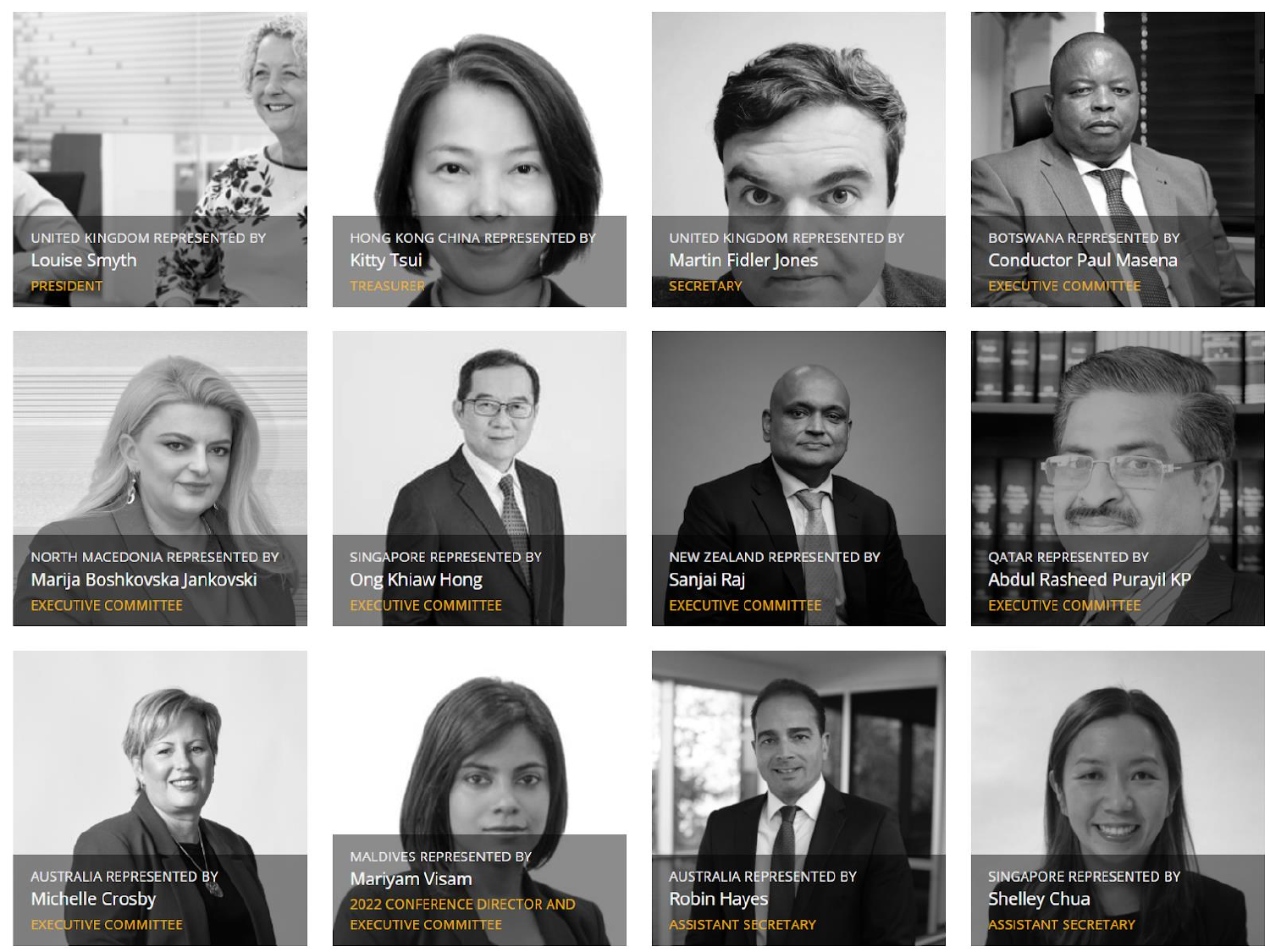



HONG KONG CHINA REPRESENTED BY Kitty Tsui



UNITED KINGDOM REPRESENTED BY Martin Fidler Jones SECRETARY



BOTSWANA REPRESENTED BY **Conductor Paul Masena EXECUTIVE COMMITTE** 



NORTH MACEDONIA REPRESENTED BY Marija Boshkovska Jankovski **EXECUTIVE COMMITTEE** 



SINGAPORE REPRESENTED BY Ong Khiaw Hong **EXECUTIVE COMMITTEE** 



NEW ZEALAND REPRESENTED BY Sanjai Raj **EXECUTIVE COMMITTEE** 



**QATAR REPRESENTED BY Abdul Rasheed Purayil KP EXECUTIVE COMMITTEE** 





MALDIVES REPRESENTED BY Mariyam Visam **2022 CONFERENCE DIRECTOR AND EXECUTIVE COMMITTEE** 



AUSTRALIA REPRESENTED BY **Robin Hayes ASSISTANT SECRETARY** 



SINGAPORE REPRESENTED BY **Shelley Chua ASSISTANT SECRETARY**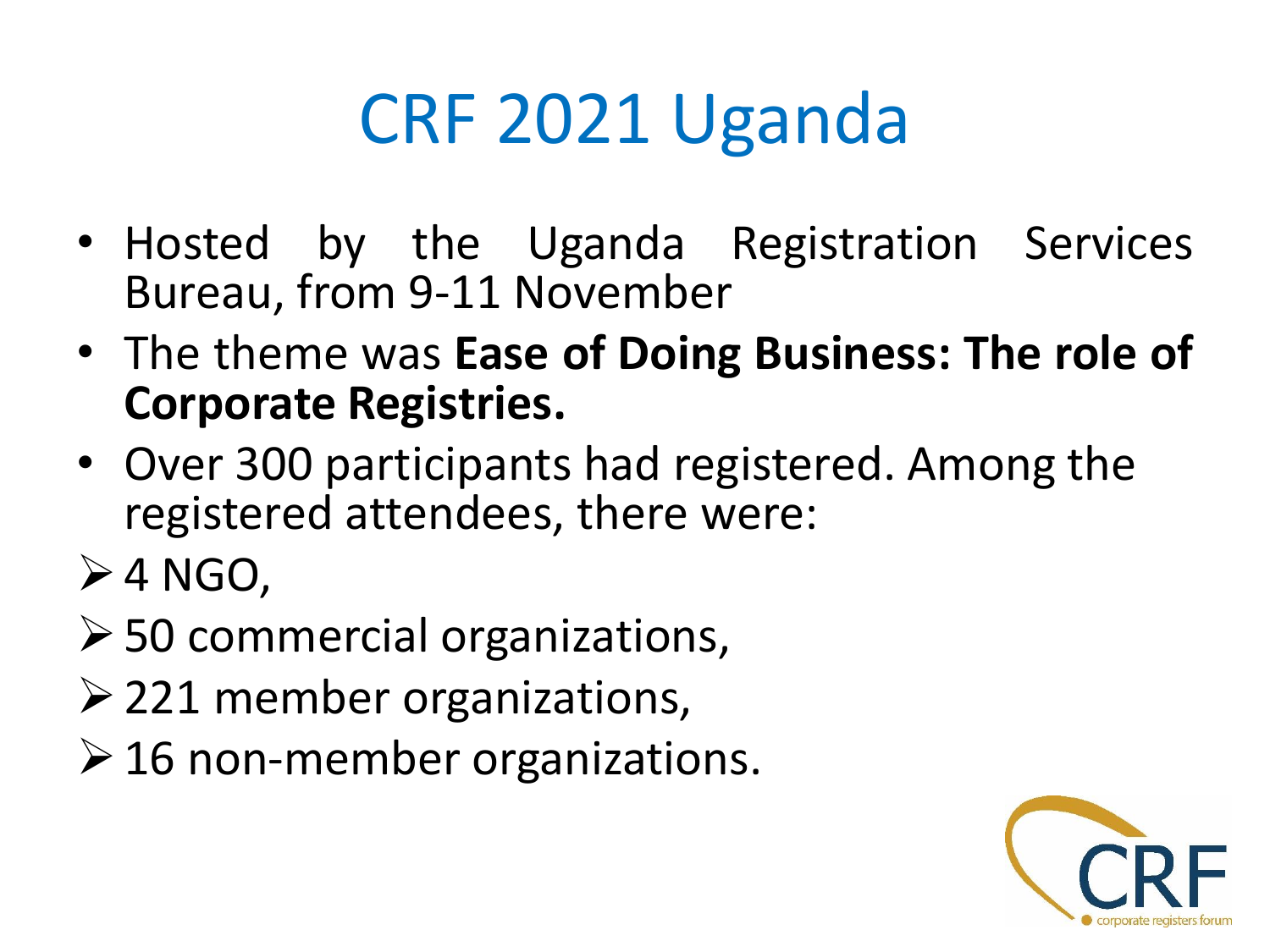# CRF 2021 Uganda

- Hosted by the Uganda Registration Services Bureau, from 9-11 November
- The theme was **Ease of Doing Business: The role of Corporate Registries.**
- Over 300 participants had registered. Among the registered attendees, there were:
- $\triangleright$  4 NGO,
- ➢50 commercial organizations,
- ➢221 member organizations,
- $\geq 16$  non-member organizations.

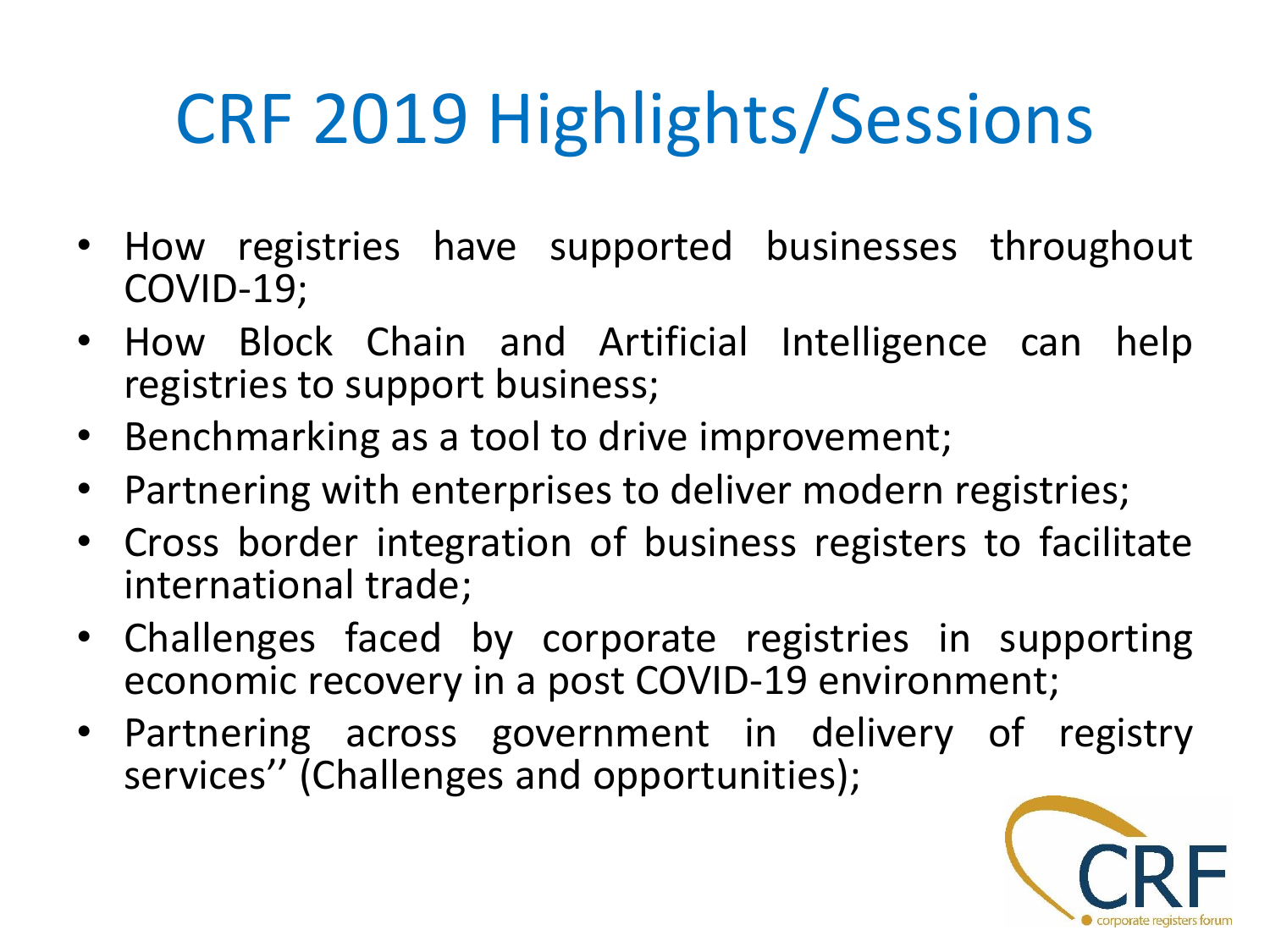# CRF 2019 Highlights/Sessions

- How registries have supported businesses throughout COVID-19;
- How Block Chain and Artificial Intelligence can help registries to support business;
- Benchmarking as a tool to drive improvement;
- Partnering with enterprises to deliver modern registries;
- Cross border integration of business registers to facilitate international trade;
- Challenges faced by corporate registries in supporting economic recovery in a post COVID-19 environment;
- Partnering across government in delivery of registry services'' (Challenges and opportunities);

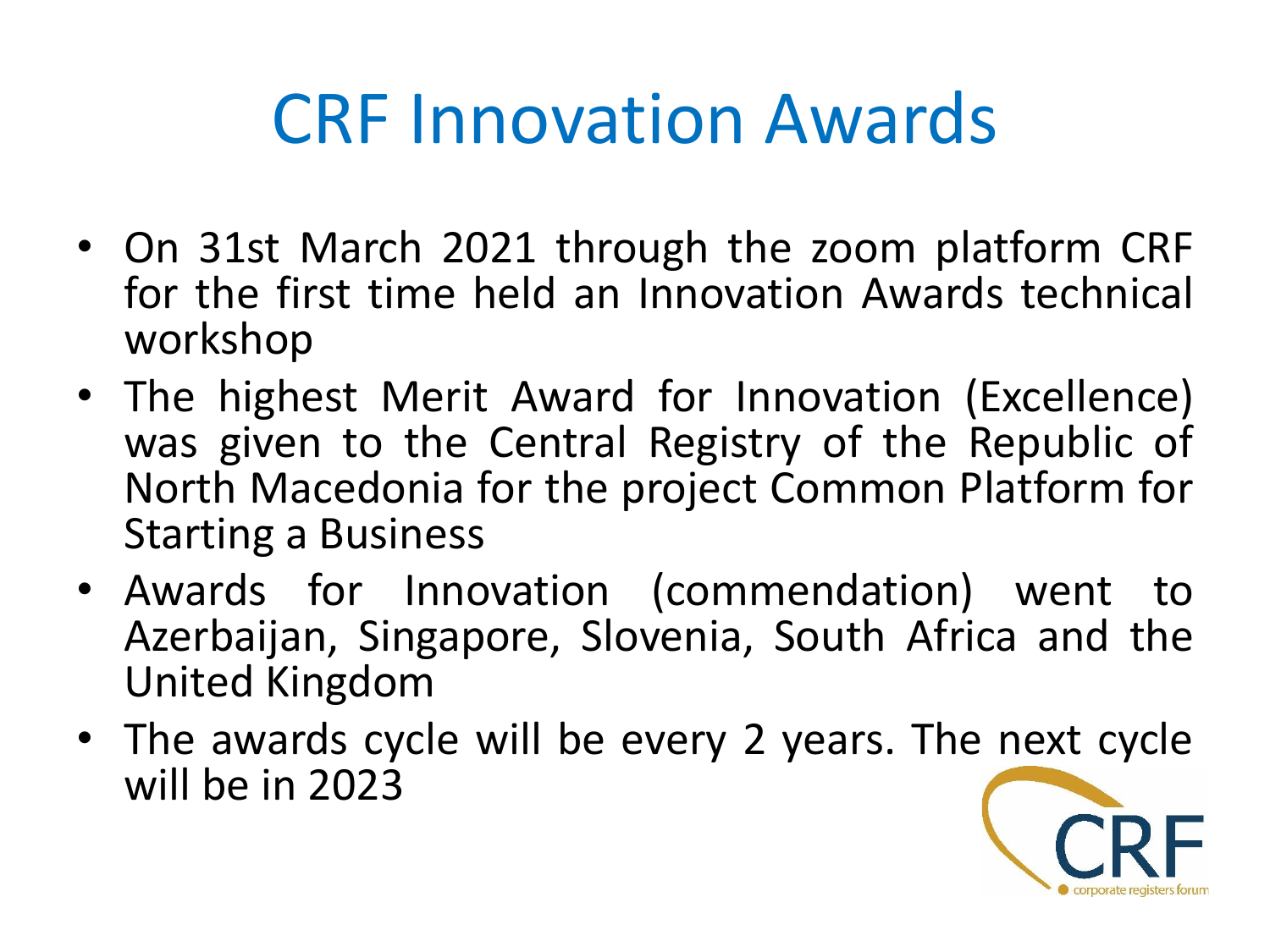## CRF Innovation Awards

- On 31st March 2021 through the zoom platform CRF for the first time held an Innovation Awards technical workshop
- The highest Merit Award for Innovation (Excellence) was given to the Central Registry of the Republic of North Macedonia for the project Common Platform for Starting a Business
- Awards for Innovation (commendation) went to Azerbaijan, Singapore, Slovenia, South Africa and the United Kingdom
- The awards cycle will be every 2 years. The next cycle will be in 2023

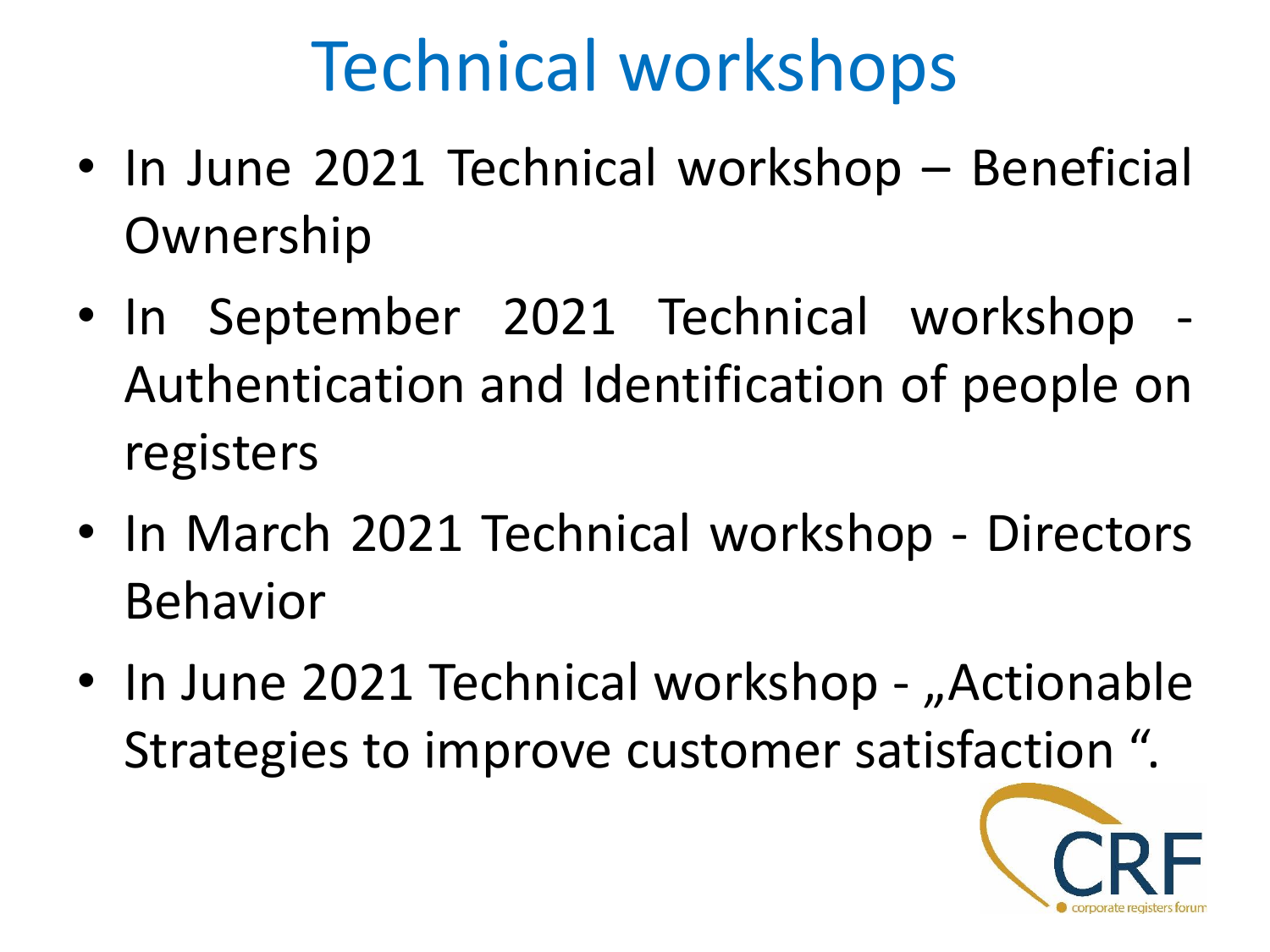# Technical workshops

- In June 2021 Technical workshop Beneficial Ownership
- In September 2021 Technical workshop Authentication and Identification of people on registers
- In March 2021 Technical workshop Directors Behavior
- In June 2021 Technical workshop "Actionable Strategies to improve customer satisfaction ".

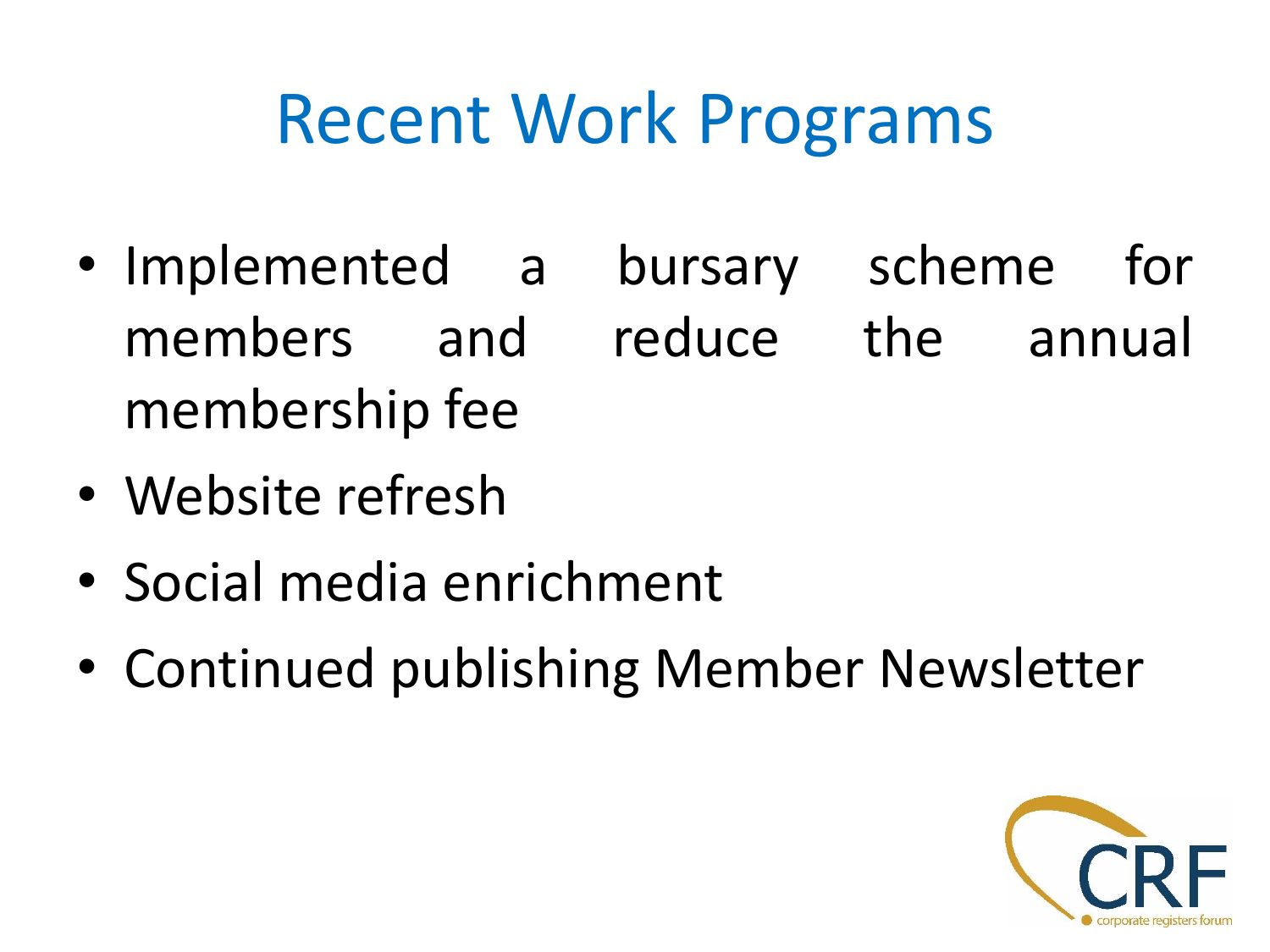### Recent Work Programs

- Implemented a bursary scheme for members and reduce the annual membership fee
- Website refresh
- Social media enrichment
- Continued publishing Member Newsletter